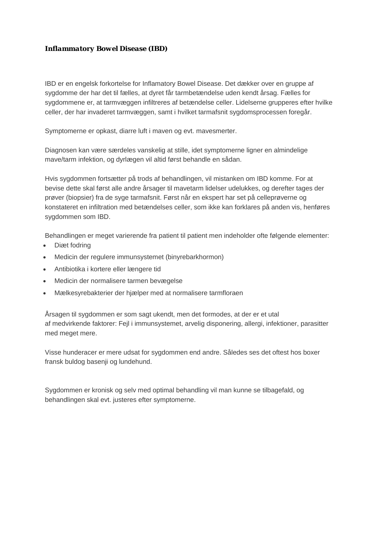# *Inflammatory Bowel Disease (IBD)*

IBD er en engelsk forkortelse for Inflamatory Bowel Disease. Det dækker over en gruppe af sygdomme der har det til fælles, at dyret får tarmbetændelse uden kendt årsag. Fælles for sygdommene er, at tarmvæggen infiltreres af betændelse celler. Lidelserne grupperes efter hvilke celler, der har invaderet tarmvæggen, samt i hvilket tarmafsnit sygdomsprocessen foregår.

Symptomerne er opkast, diarre luft i maven og evt. mavesmerter.

Diagnosen kan være særdeles vanskelig at stille, idet symptomerne ligner en almindelige mave/tarm infektion, og dyrlægen vil altid først behandle en sådan.

Hvis sygdommen fortsætter på trods af behandlingen, vil mistanken om IBD komme. For at bevise dette skal først alle andre årsager til mavetarm lidelser udelukkes, og derefter tages der prøver (biopsier) fra de syge tarmafsnit. Først når en ekspert har set på celleprøverne og konstateret en infiltration med betændelses celler, som ikke kan forklares på anden vis, henføres sygdommen som IBD.

Behandlingen er meget varierende fra patient til patient men indeholder ofte følgende elementer:

- Diæt fodring
- Medicin der regulere immunsystemet (binyrebarkhormon)
- Antibiotika i kortere eller længere tid
- Medicin der normalisere tarmen bevægelse
- Mælkesyrebakterier der hjælper med at normalisere tarmfloraen

Årsagen til sygdommen er som sagt ukendt, men det formodes, at der er et utal af medvirkende faktorer: Fejl i immunsystemet, arvelig disponering, allergi, infektioner, parasitter med meget mere.

Visse hunderacer er mere udsat for sygdommen end andre. Således ses det oftest hos boxer fransk buldog basenji og lundehund.

Sygdommen er kronisk og selv med optimal behandling vil man kunne se tilbagefald, og behandlingen skal evt. justeres efter symptomerne.